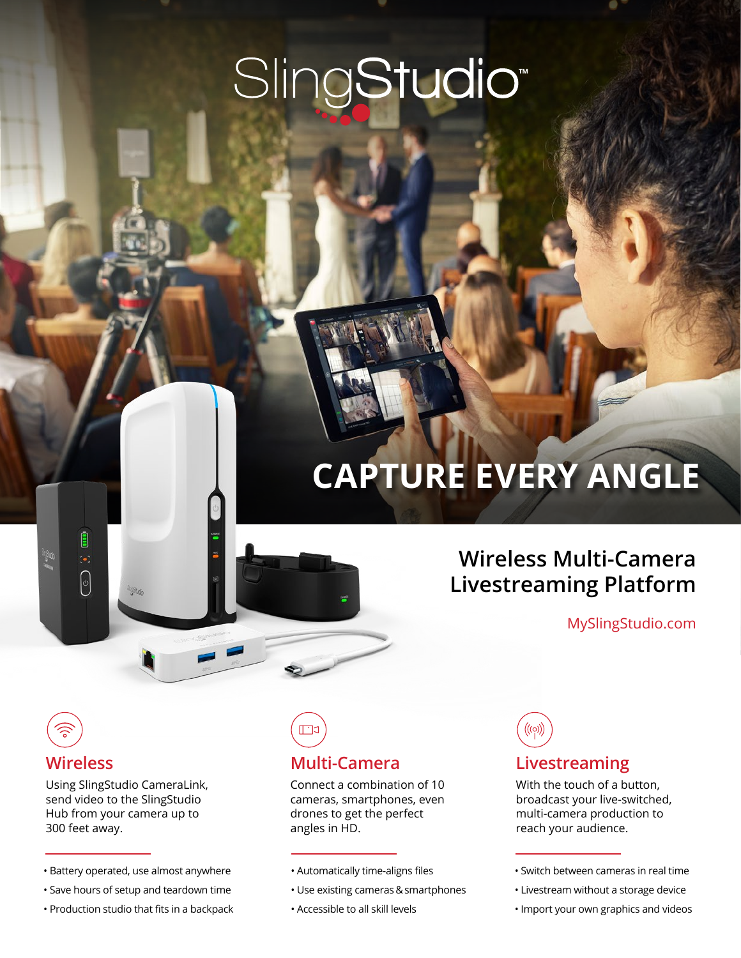# SlingStudio<sup>®</sup>

## **CAPTURE EVERY ANGLE**

## **Wireless Multi-Camera Livestreaming Platform**

MySlingStudio.com

## **Wireless**

B

 $\bigcirc$ 

Using SlingStudio CameraLink, send video to the SlingStudio Hub from your camera up to 300 feet away.

- Battery operated, use almost anywhere
- Save hours of setup and teardown time
- Production studio that fits in a backpack

## **Multi-Camera**

Connect a combination of 10 cameras, smartphones, even drones to get the perfect angles in HD.

- Automatically time-aligns files
- Use existing cameras & smartphones
- Accessible to all skill levels

 $\bigl(\!\bigl(\!\bigl(\circ\bigr)\!\bigr)\!\bigr)$ 

## **Livestreaming**

With the touch of a button, broadcast your live-switched, multi-camera production to reach your audience.

- Livestream without a storage device
- Import your own graphics and videos

<sup>•</sup> Switch between cameras in real time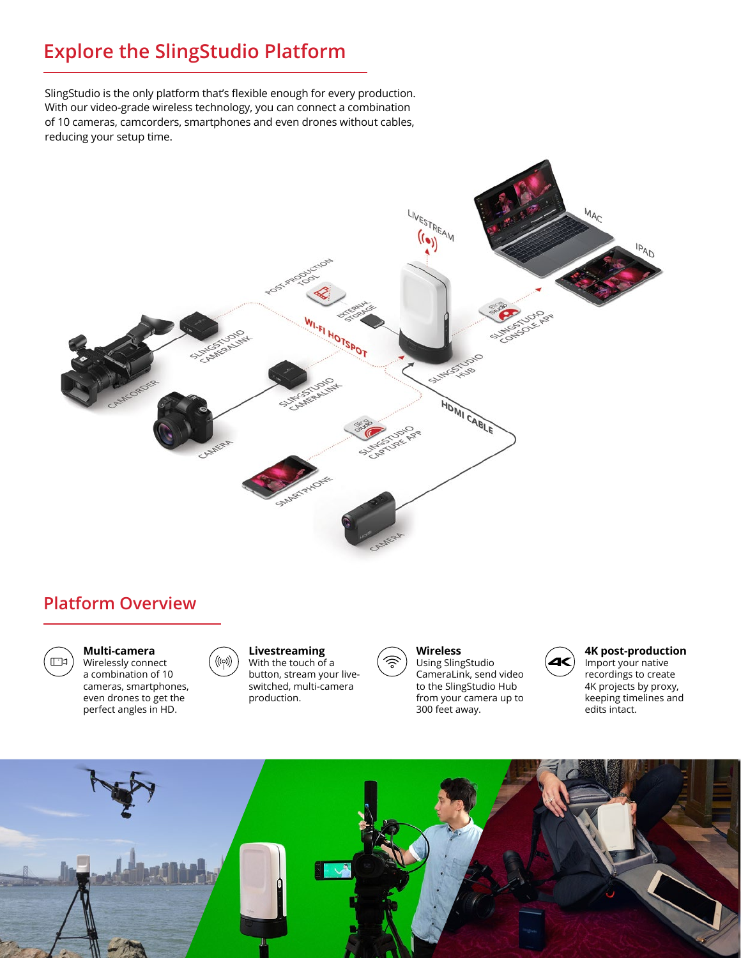## **Explore the SlingStudio Platform**

SlingStudio is the only platform that's flexible enough for every production. With our video-grade wireless technology, you can connect a combination of 10 cameras, camcorders, smartphones and even drones without cables, reducing your setup time.



## **Platform Overview**



### **Multi-camera**

Wirelessly connect a combination of 10 cameras, smartphones, even drones to get the perfect angles in HD.

#### **Livestreaming** With the touch of a button, stream your liveswitched, multi-camera production.



**Wireless** Using SlingStudio CameraLink, send video to the SlingStudio Hub from your camera up to

300 feet away.



#### **4K post-production** Import your native recordings to create 4K projects by proxy, keeping timelines and edits intact.

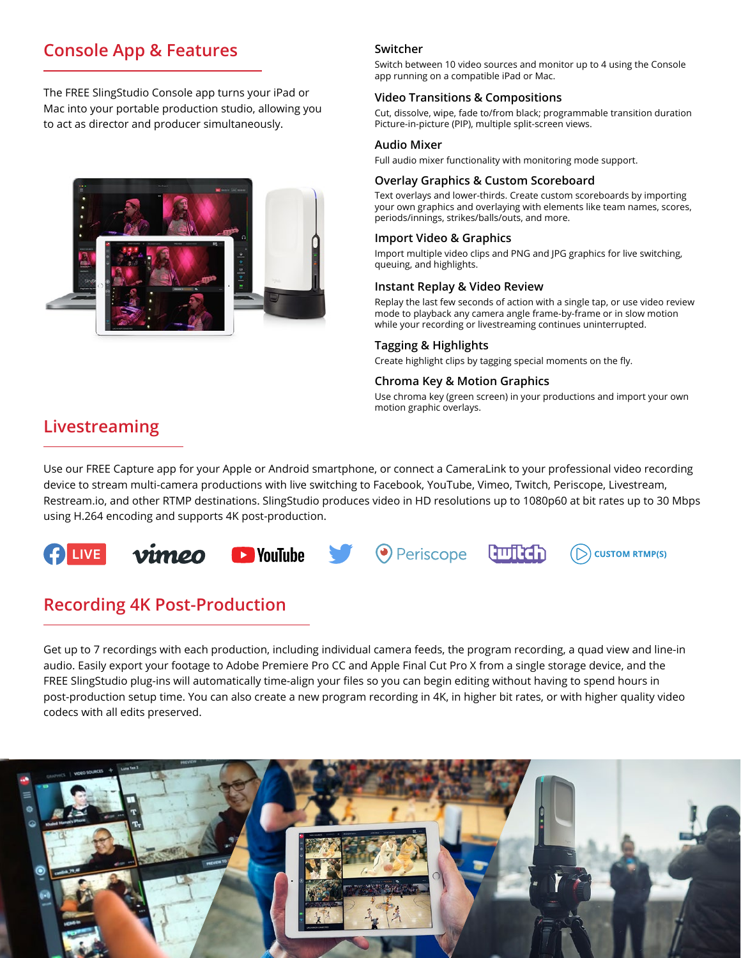## **Console App & Features**

The FREE SlingStudio Console app turns your iPad or Mac into your portable production studio, allowing you to act as director and producer simultaneously.



## **Switcher**

Switch between 10 video sources and monitor up to 4 using the Console app running on a compatible iPad or Mac.

## **Video Transitions & Compositions**

Cut, dissolve, wipe, fade to/from black; programmable transition duration Picture-in-picture (PIP), multiple split-screen views.

## **Audio Mixer**

Full audio mixer functionality with monitoring mode support.

## **Overlay Graphics & Custom Scoreboard**

Text overlays and lower-thirds. Create custom scoreboards by importing your own graphics and overlaying with elements like team names, scores, periods/innings, strikes/balls/outs, and more.

## **Import Video & Graphics**

Import multiple video clips and PNG and JPG graphics for live switching, queuing, and highlights.

## **Instant Replay & Video Review**

Replay the last few seconds of action with a single tap, or use video review mode to playback any camera angle frame-by-frame or in slow motion while your recording or livestreaming continues uninterrupted.

## **Tagging & Highlights**

Create highlight clips by tagging special moments on the fly.

## **Chroma Key & Motion Graphics**

Use chroma key (green screen) in your productions and import your own motion graphic overlays.

## **Livestreaming**

Use our FREE Capture app for your Apple or Android smartphone, or connect a CameraLink to your professional video recording device to stream multi-camera productions with live switching to Facebook, YouTube, Vimeo, Twitch, Periscope, Livestream, Restream.io, and other RTMP destinations. SlingStudio produces video in HD resolutions up to 1080p60 at bit rates up to 30 Mbps using H.264 encoding and supports 4K post-production.



## **Recording 4K Post-Production**

Get up to 7 recordings with each production, including individual camera feeds, the program recording, a quad view and line-in audio. Easily export your footage to Adobe Premiere Pro CC and Apple Final Cut Pro X from a single storage device, and the FREE SlingStudio plug-ins will automatically time-align your files so you can begin editing without having to spend hours in post-production setup time. You can also create a new program recording in 4K, in higher bit rates, or with higher quality video codecs with all edits preserved.